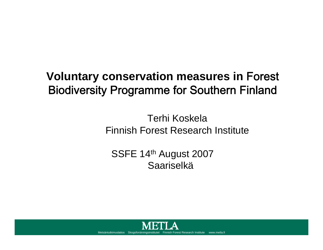# **Voluntary conservation measures in** Forest Biodiversity Programme for Southern Finland

Terhi KoskelaFinnish Forest Research Institute

SSFE 14th August 2007 Saariselkä

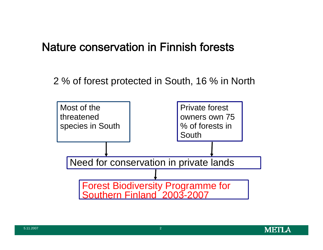### Nature conservation in Finnish forests

2 % of forest protected in South, 16 % in North



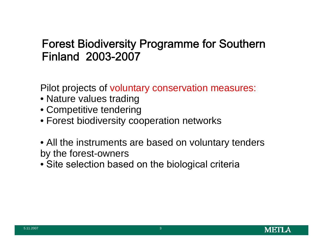### Forest Biodiversity Programme for Southern Finland 2003-2007

Pilot projects of voluntary conservation measures:

- Nature values trading
- Competitive tendering
- Forest biodiversity cooperation networks
- All the instruments are based on voluntary tenders by the forest-owners
- Site selection based on the biological criteria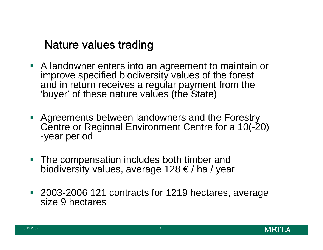### Nature values trading

- A landowner enters into an agreement to maintain or improve specified biodiversity values of the forest and in return receives a regular payment from the 'buyer' of these nature values (the State)
- **Agreements between landowners and the Forestry** Centre or Regional Environment Centre for a 10(-20) -year period
- $\mathcal{L}_{\mathcal{A}}$  The compensation includes both timber and biodiversity values, average 128 € / ha / year
- 2003-2006 121 contracts for 1219 hectares, average size 9 hectares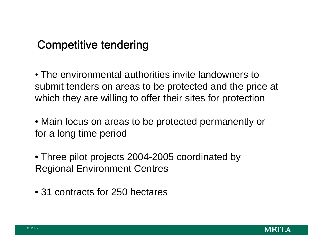## Competitive tendering

• The environmental authorities invite landowners to submit tenders on areas to be protected and the price at which they are willing to offer their sites for protection

• Main focus on areas to be protected permanently or for a long time period

• Three pilot projects 2004-2005 coordinated by Regional Environment Centres

• 31 contracts for 250 hectares

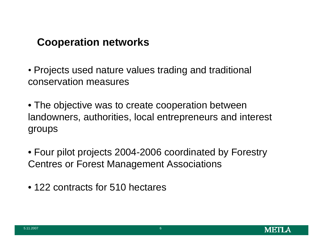#### **Cooperation networks**

• Projects used nature values trading and traditional conservation measures

• The objective was to create cooperation between landowners, authorities, local entrepreneurs and interest groups

• Four pilot projects 2004-2006 coordinated by Forestry Centres or Forest Management Associations

• 122 contracts for 510 hectares

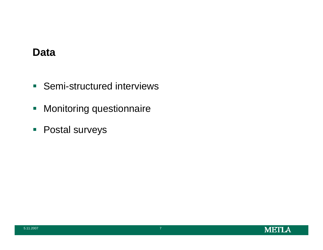#### **Data**

- **Semi-structured interviews**
- **Monitoring questionnaire**
- **Postal surveys**

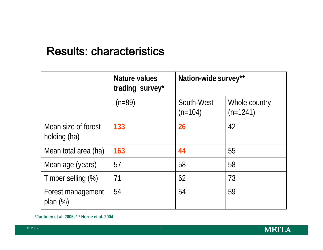### Results: characteristics

|                                     | Nature values<br>trading survey* | Nation-wide survey**    |                             |
|-------------------------------------|----------------------------------|-------------------------|-----------------------------|
|                                     | $(n=89)$                         | South-West<br>$(n=104)$ | Whole country<br>$(n=1241)$ |
| Mean size of forest<br>holding (ha) | 133                              | 26                      | 42                          |
| Mean total area (ha)                | 163                              | 44                      | 55                          |
| Mean age (years)                    | 57                               | 58                      | 58                          |
| Timber selling (%)                  | 71                               | 62                      | 73                          |
| Forest management<br>plan $(\%)$    | 54                               | 54                      | 59                          |

**\*Juutinen et al. 2005, \* \* Horne et al. 2004**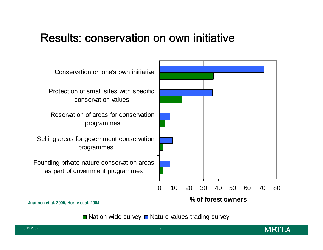#### Results: conservation on own initiative



 $\blacksquare$  Nation-wide survey  $\blacksquare$  Nature values trading survey

METI A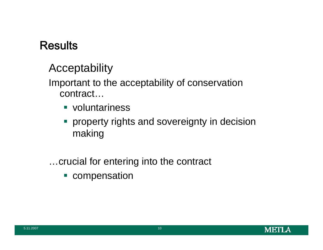**Acceptability** 

Important to the acceptability of conservation contract…

- voluntariness
- **Peroperty rights and sovereignty in decision** making
- …crucial for entering into the contract
	- **Compensation**

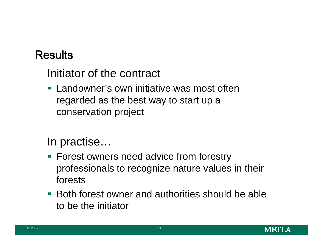Initiator of the contract

**EXT** Landowner's own initiative was most often regarded as the best way to start up a conservation project

In practise…

- Forest owners need advice from forestry professionals to recognize nature values in their forests
- **Both forest owner and authorities should be able** to be the initiator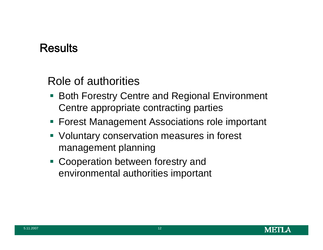Role of authorities

- **Both Forestry Centre and Regional Environment** Centre appropriate contracting parties
- Forest Management Associations role important
- Voluntary conservation measures in forest management planning
- **Cooperation between forestry and** environmental authorities important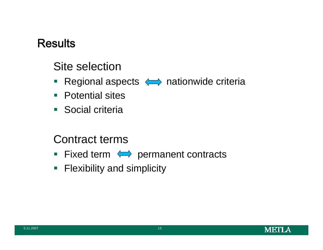## Site selection

- $\Box$ Regional aspects  $\iff$  nationwide criteria
- Potential sites
- **Social criteria**

#### Contract terms

- Fixed term  $\iff$  permanent contracts
- **Flexibility and simplicity**

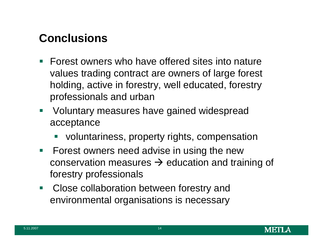## **Conclusions**

- **Forest owners who have offered sites into nature** values trading contract are owners of large forest holding, active in forestry, well educated, forestry professionals and urban
- **Voluntary measures have gained widespread** acceptance
	- voluntariness, property rights, compensation
- **Forest owners need advise in using the new** conservation measures  $\rightarrow$  education and training of forestry professionals
- $\mathcal{L}^{\text{max}}_{\text{max}}$  Close collaboration between forestry and environmental organisations is necessary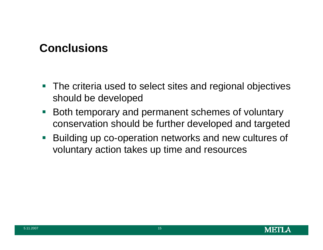## **Conclusions**

- $\overline{\mathcal{A}}$  The criteria used to select sites and regional objectives should be developed
- $\mathcal{L}_{\mathcal{A}}$  Both temporary and permanent schemes of voluntary conservation should be further developed and targeted
- $\mathcal{L}_{\mathcal{A}}$  Building up co-operation networks and new cultures of voluntary action takes up time and resources